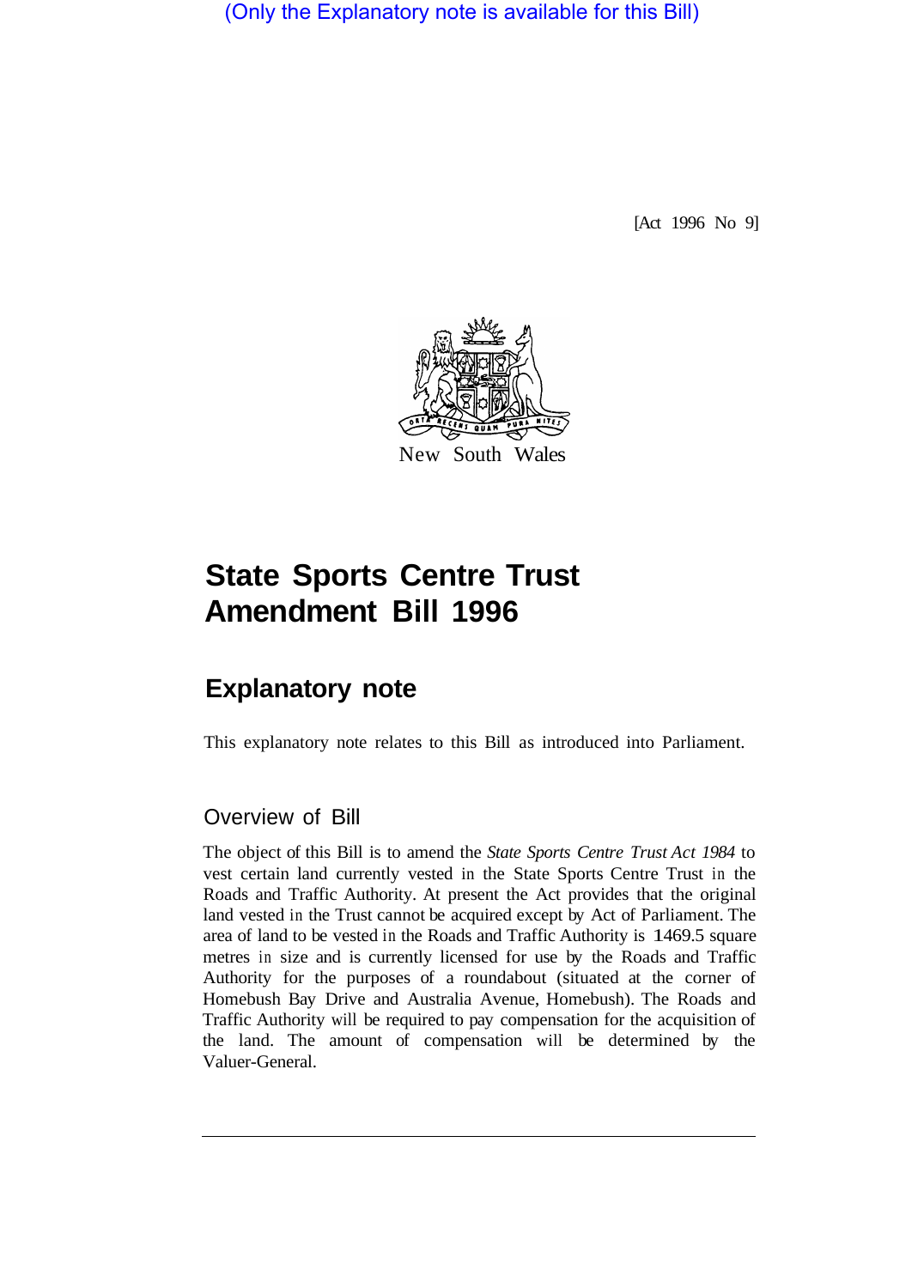(Only the Explanatory note is available for this Bill)

[Act 1996 No 9]



## **State Sports Centre Trust Amendment Bill 1996**

## **Explanatory note**

This explanatory note relates to this Bill as introduced into Parliament.

## Overview of Bill

The object of this Bill is to amend the *State Sports Centre Trust Act 1984* to vest certain land currently vested in the State Sports Centre Trust in the Roads and Traffic Authority. At present the Act provides that the original land vested in the Trust cannot be acquired except by Act of Parliament. The area of land to be vested in the Roads and Traffic Authority is 1 469.5 square metres in size and is currently licensed for use by the Roads and Traffic Authority for the purposes of a roundabout (situated at the corner of Homebush Bay Drive and Australia Avenue, Homebush). The Roads and Traffic Authority will be required to pay compensation for the acquisition of the land. The amount of compensation will be determined by the Valuer-General.